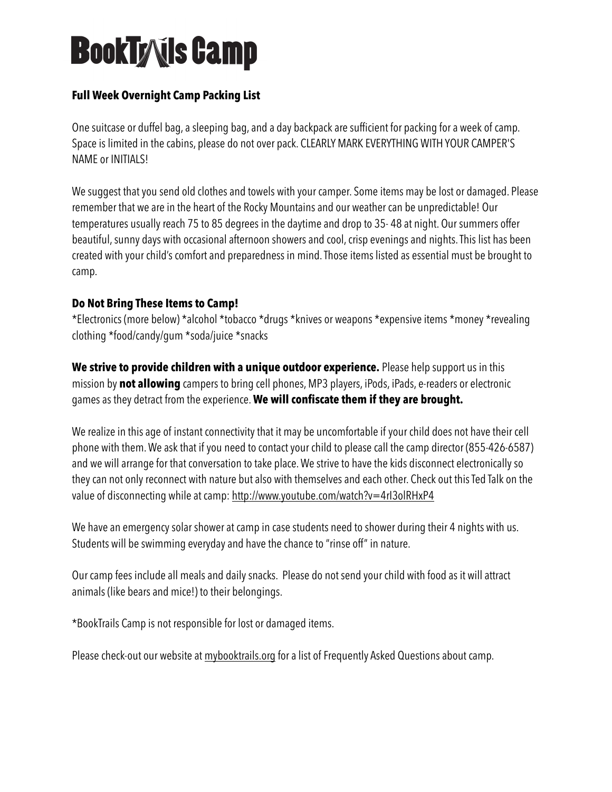# **BookTyxils Camp**

### **Full Week Overnight Camp Packing List**

One suitcase or duffel bag, a sleeping bag, and a day backpack are sufficient for packing for a week of camp. Space is limited in the cabins, please do not over pack. CLEARLY MARK EVERYTHING WITH YOUR CAMPER'S NAME or INITIALS!

We suggest that you send old clothes and towels with your camper. Some items may be lost or damaged. Please remember that we are in the heart of the Rocky Mountains and our weather can be unpredictable! Our temperatures usually reach 75 to 85 degrees in the daytime and drop to 35- 48 at night. Our summers offer beautiful, sunny days with occasional afternoon showers and cool, crisp evenings and nights. This list has been created with your child's comfort and preparedness in mind. Those items listed as essential must be brought to camp.

#### **Do Not Bring These Items to Camp!**

\*Electronics (more below) \*alcohol \*tobacco \*drugs \*knives or weapons \*expensive items \*money \*revealing clothing \*food/candy/gum \*soda/juice \*snacks

**We strive to provide children with a unique outdoor experience.** Please help support us in this mission by **not allowing** campers to bring cell phones, MP3 players, iPods, iPads, e-readers or electronic games as they detract from the experience. **We will confiscate them if they are brought.** 

We realize in this age of instant connectivity that it may be uncomfortable if your child does not have their cell phone with them. We ask that if you need to contact your child to please call the camp director (855-426-6587) and we will arrange for that conversation to take place. We strive to have the kids disconnect electronically so they can not only reconnect with nature but also with themselves and each other. Check out this Ted Talk on the value of disconnecting while at camp:<http://www.youtube.com/watch?v=4rI3olRHxP4>

We have an emergency solar shower at camp in case students need to shower during their 4 nights with us. Students will be swimming everyday and have the chance to "rinse off" in nature.

Our camp fees include all meals and daily snacks. Please do not send your child with food as it will attract animals (like bears and mice!) to their belongings.

\*BookTrails Camp is not responsible for lost or damaged items.

Please check-out our website at [mybooktrails.org](http://mybooktrails.org) for a list of Frequently Asked Questions about camp.